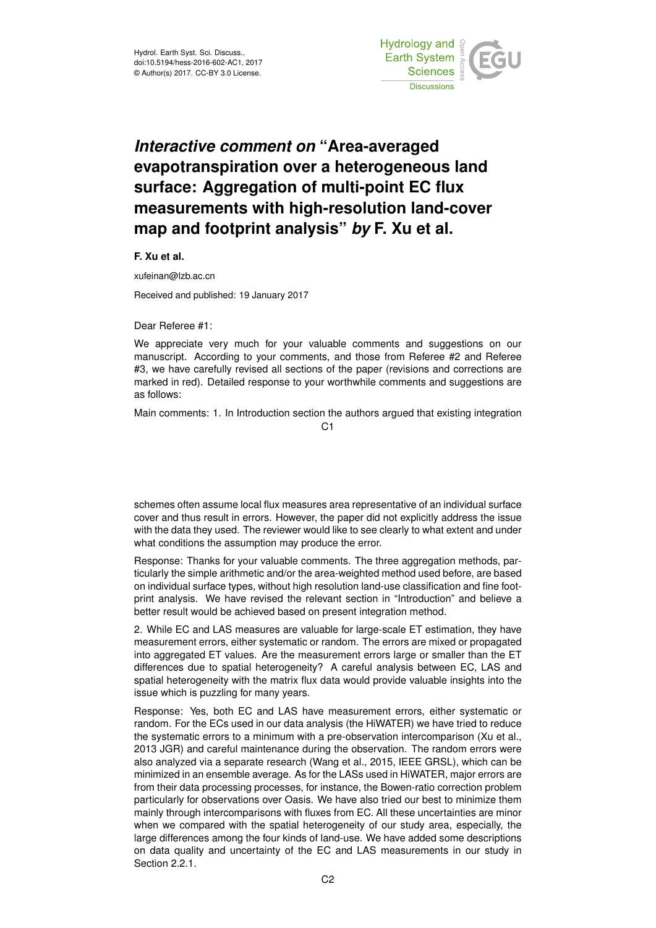

## *Interactive comment on* **"Area-averaged evapotranspiration over a heterogeneous land surface: Aggregation of multi-point EC flux measurements with high-resolution land-cover map and footprint analysis"** *by* **F. Xu et al.**

**F. Xu et al.**

xufeinan@lzb.ac.cn

Received and published: 19 January 2017

Dear Referee #1:

We appreciate very much for your valuable comments and suggestions on our manuscript. According to your comments, and those from Referee #2 and Referee #3, we have carefully revised all sections of the paper (revisions and corrections are marked in red). Detailed response to your worthwhile comments and suggestions are as follows:

Main comments: 1. In Introduction section the authors argued that existing integration

 $C<sub>1</sub>$ 

schemes often assume local flux measures area representative of an individual surface cover and thus result in errors. However, the paper did not explicitly address the issue with the data they used. The reviewer would like to see clearly to what extent and under what conditions the assumption may produce the error.

Response: Thanks for your valuable comments. The three aggregation methods, particularly the simple arithmetic and/or the area-weighted method used before, are based on individual surface types, without high resolution land-use classification and fine footprint analysis. We have revised the relevant section in "Introduction" and believe a better result would be achieved based on present integration method.

2. While EC and LAS measures are valuable for large-scale ET estimation, they have measurement errors, either systematic or random. The errors are mixed or propagated into aggregated ET values. Are the measurement errors large or smaller than the ET differences due to spatial heterogeneity? A careful analysis between EC, LAS and spatial heterogeneity with the matrix flux data would provide valuable insights into the issue which is puzzling for many years.

Response: Yes, both EC and LAS have measurement errors, either systematic or random. For the ECs used in our data analysis (the HiWATER) we have tried to reduce the systematic errors to a minimum with a pre-observation intercomparison (Xu et al., 2013 JGR) and careful maintenance during the observation. The random errors were also analyzed via a separate research (Wang et al., 2015, IEEE GRSL), which can be minimized in an ensemble average. As for the LASs used in HiWATER, major errors are from their data processing processes, for instance, the Bowen-ratio correction problem particularly for observations over Oasis. We have also tried our best to minimize them mainly through intercomparisons with fluxes from EC. All these uncertainties are minor when we compared with the spatial heterogeneity of our study area, especially, the large differences among the four kinds of land-use. We have added some descriptions on data quality and uncertainty of the EC and LAS measurements in our study in Section 2.2.1.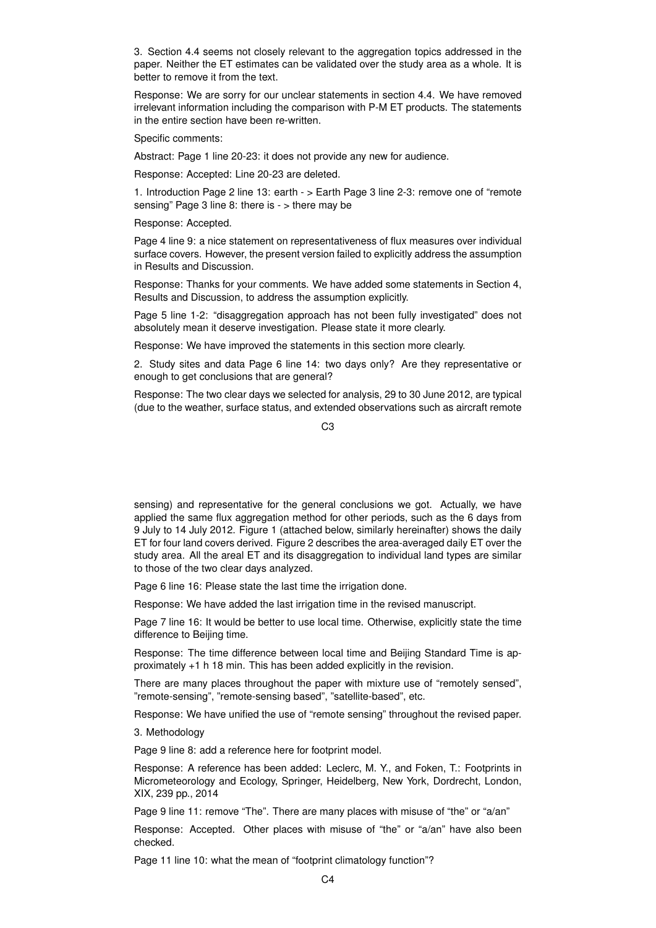3. Section 4.4 seems not closely relevant to the aggregation topics addressed in the paper. Neither the ET estimates can be validated over the study area as a whole. It is better to remove it from the text.

Response: We are sorry for our unclear statements in section 4.4. We have removed irrelevant information including the comparison with P-M ET products. The statements in the entire section have been re-written.

Specific comments:

Abstract: Page 1 line 20-23: it does not provide any new for audience.

Response: Accepted: Line 20-23 are deleted.

1. Introduction Page 2 line 13: earth - > Earth Page 3 line 2-3: remove one of "remote sensing" Page 3 line 8: there is - > there may be

Response: Accepted.

Page 4 line 9: a nice statement on representativeness of flux measures over individual surface covers. However, the present version failed to explicitly address the assumption in Results and Discussion.

Response: Thanks for your comments. We have added some statements in Section 4, Results and Discussion, to address the assumption explicitly.

Page 5 line 1-2: "disaggregation approach has not been fully investigated" does not absolutely mean it deserve investigation. Please state it more clearly.

Response: We have improved the statements in this section more clearly.

2. Study sites and data Page 6 line 14: two days only? Are they representative or enough to get conclusions that are general?

Response: The two clear days we selected for analysis, 29 to 30 June 2012, are typical (due to the weather, surface status, and extended observations such as aircraft remote

 $C3$ 

sensing) and representative for the general conclusions we got. Actually, we have applied the same flux aggregation method for other periods, such as the 6 days from 9 July to 14 July 2012. Figure 1 (attached below, similarly hereinafter) shows the daily ET for four land covers derived. Figure 2 describes the area-averaged daily ET over the study area. All the areal ET and its disaggregation to individual land types are similar to those of the two clear days analyzed.

Page 6 line 16: Please state the last time the irrigation done.

Response: We have added the last irrigation time in the revised manuscript.

Page 7 line 16: It would be better to use local time. Otherwise, explicitly state the time difference to Beijing time.

Response: The time difference between local time and Beijing Standard Time is approximately +1 h 18 min. This has been added explicitly in the revision.

There are many places throughout the paper with mixture use of "remotely sensed", "remote-sensing", "remote-sensing based", "satellite-based", etc.

Response: We have unified the use of "remote sensing" throughout the revised paper.

3. Methodology

Page 9 line 8: add a reference here for footprint model.

Response: A reference has been added: Leclerc, M. Y., and Foken, T.: Footprints in Micrometeorology and Ecology, Springer, Heidelberg, New York, Dordrecht, London, XIX, 239 pp., 2014

Page 9 line 11: remove "The". There are many places with misuse of "the" or "a/an"

Response: Accepted. Other places with misuse of "the" or "a/an" have also been checked.

Page 11 line 10: what the mean of "footprint climatology function"?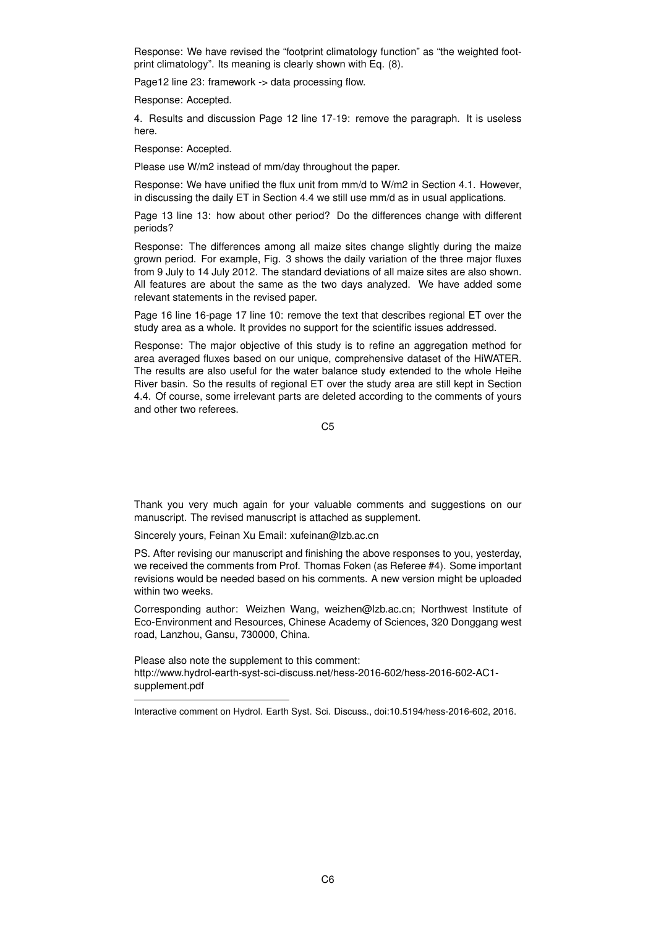Response: We have revised the "footprint climatology function" as "the weighted footprint climatology". Its meaning is clearly shown with Eq. (8).

Page12 line 23: framework -> data processing flow.

Response: Accepted.

4. Results and discussion Page 12 line 17-19: remove the paragraph. It is useless here.

Response: Accepted.

Please use W/m2 instead of mm/day throughout the paper.

Response: We have unified the flux unit from mm/d to W/m2 in Section 4.1. However, in discussing the daily ET in Section 4.4 we still use mm/d as in usual applications.

Page 13 line 13: how about other period? Do the differences change with different periods?

Response: The differences among all maize sites change slightly during the maize grown period. For example, Fig. 3 shows the daily variation of the three major fluxes from 9 July to 14 July 2012. The standard deviations of all maize sites are also shown. All features are about the same as the two days analyzed. We have added some relevant statements in the revised paper.

Page 16 line 16-page 17 line 10: remove the text that describes regional ET over the study area as a whole. It provides no support for the scientific issues addressed.

Response: The major objective of this study is to refine an aggregation method for area averaged fluxes based on our unique, comprehensive dataset of the HiWATER. The results are also useful for the water balance study extended to the whole Heihe River basin. So the results of regional ET over the study area are still kept in Section 4.4. Of course, some irrelevant parts are deleted according to the comments of yours and other two referees.

C5

Thank you very much again for your valuable comments and suggestions on our manuscript. The revised manuscript is attached as supplement.

Sincerely yours, Feinan Xu Email: xufeinan@lzb.ac.cn

PS. After revising our manuscript and finishing the above responses to you, yesterday, we received the comments from Prof. Thomas Foken (as Referee #4). Some important revisions would be needed based on his comments. A new version might be uploaded within two weeks.

Corresponding author: Weizhen Wang, weizhen@lzb.ac.cn; Northwest Institute of Eco-Environment and Resources, Chinese Academy of Sciences, 320 Donggang west road, Lanzhou, Gansu, 730000, China.

Please also note the supplement to this comment: http://www.hydrol-earth-syst-sci-discuss.net/hess-2016-602/hess-2016-602-AC1 supplement.pdf

Interactive comment on Hydrol. Earth Syst. Sci. Discuss., doi:10.5194/hess-2016-602, 2016.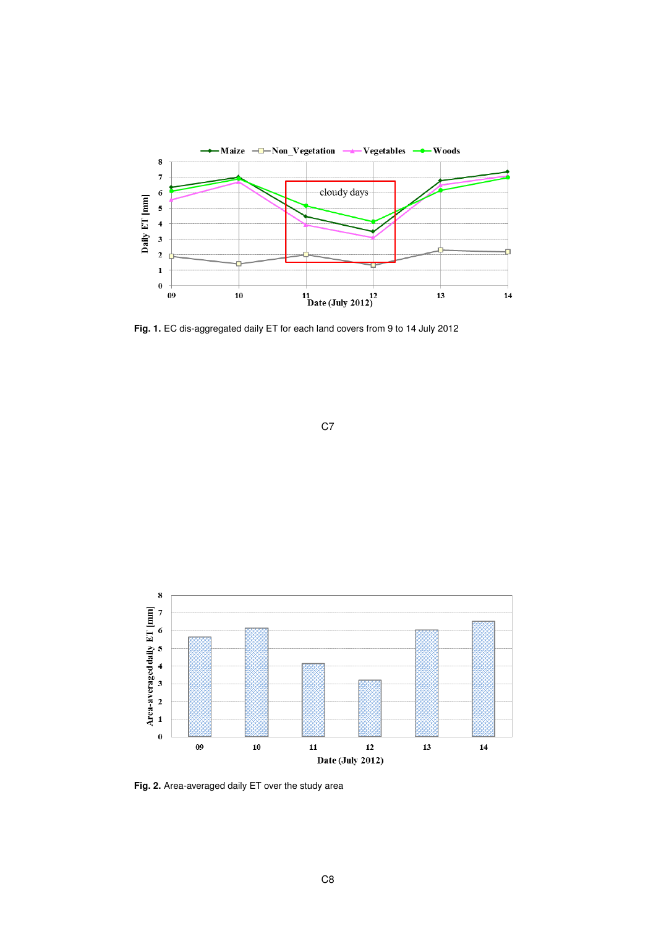

**Fig. 1.** EC dis-aggregated daily ET for each land covers from 9 to 14 July 2012





**Fig. 2.** Area-averaged daily ET over the study area